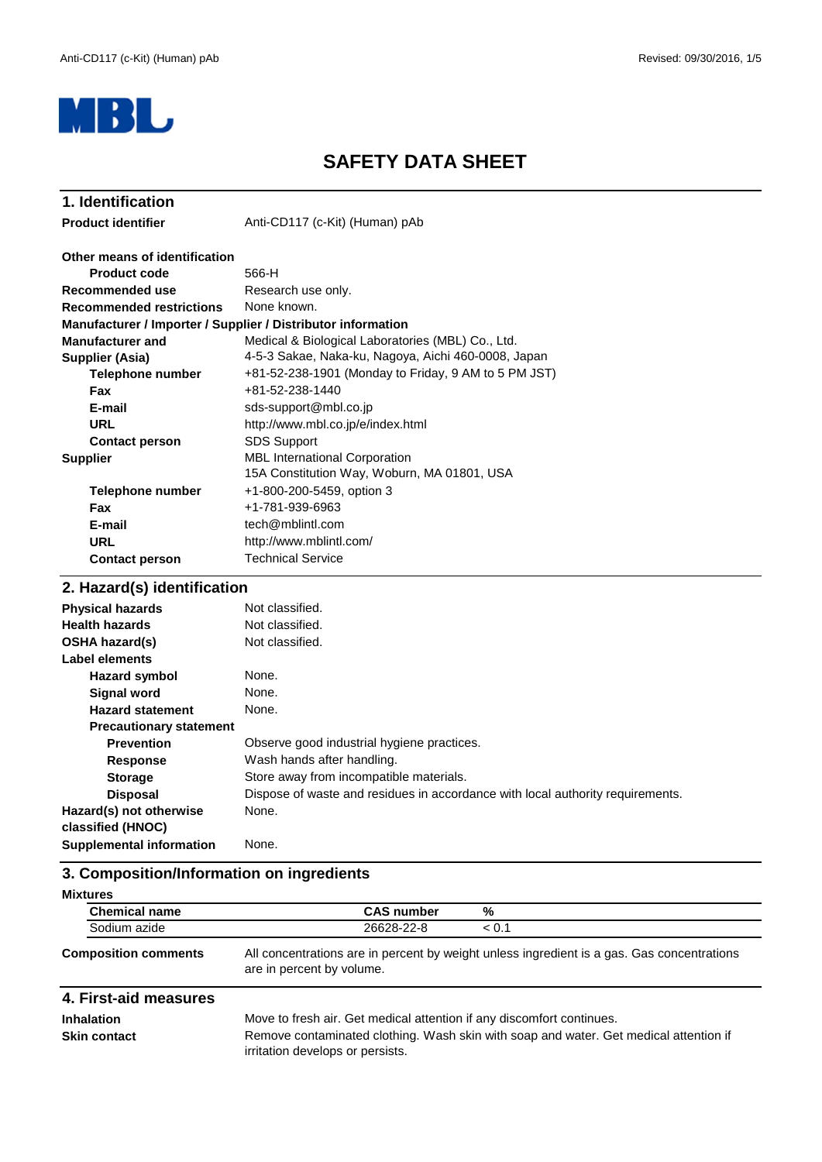

# **SAFETY DATA SHEET**

| 1. Identification                                            |                                                                                     |  |  |
|--------------------------------------------------------------|-------------------------------------------------------------------------------------|--|--|
| <b>Product identifier</b>                                    | Anti-CD117 (c-Kit) (Human) pAb                                                      |  |  |
| Other means of identification                                |                                                                                     |  |  |
| <b>Product code</b>                                          | 566-H                                                                               |  |  |
| Recommended use                                              | Research use only.                                                                  |  |  |
| <b>Recommended restrictions</b>                              | None known.                                                                         |  |  |
| Manufacturer / Importer / Supplier / Distributor information |                                                                                     |  |  |
| <b>Manufacturer and</b>                                      | Medical & Biological Laboratories (MBL) Co., Ltd.                                   |  |  |
| <b>Supplier (Asia)</b>                                       | 4-5-3 Sakae, Naka-ku, Nagoya, Aichi 460-0008, Japan                                 |  |  |
| <b>Telephone number</b>                                      | +81-52-238-1901 (Monday to Friday, 9 AM to 5 PM JST)                                |  |  |
| <b>Fax</b>                                                   | $+81 - 52 - 238 - 1440$                                                             |  |  |
| E-mail                                                       | sds-support@mbl.co.jp                                                               |  |  |
| URL                                                          | http://www.mbl.co.jp/e/index.html                                                   |  |  |
| <b>Contact person</b>                                        | <b>SDS Support</b>                                                                  |  |  |
| <b>Supplier</b>                                              | <b>MBL</b> International Corporation<br>15A Constitution Way, Woburn, MA 01801, USA |  |  |
| <b>Telephone number</b>                                      | +1-800-200-5459, option 3                                                           |  |  |
| <b>Fax</b>                                                   | +1-781-939-6963                                                                     |  |  |
| E-mail                                                       | tech@mblintl.com                                                                    |  |  |
| <b>URL</b>                                                   | http://www.mblintl.com/                                                             |  |  |
| <b>Contact person</b>                                        | <b>Technical Service</b>                                                            |  |  |
| 2. Hazard(s) identification                                  |                                                                                     |  |  |

| <b>Physical hazards</b>         | Not classified.                                                                |
|---------------------------------|--------------------------------------------------------------------------------|
| <b>Health hazards</b>           | Not classified.                                                                |
| <b>OSHA hazard(s)</b>           | Not classified.                                                                |
| Label elements                  |                                                                                |
| Hazard symbol                   | None.                                                                          |
| <b>Signal word</b>              | None.                                                                          |
| <b>Hazard statement</b>         | None.                                                                          |
| <b>Precautionary statement</b>  |                                                                                |
| <b>Prevention</b>               | Observe good industrial hygiene practices.                                     |
| <b>Response</b>                 | Wash hands after handling.                                                     |
| <b>Storage</b>                  | Store away from incompatible materials.                                        |
| <b>Disposal</b>                 | Dispose of waste and residues in accordance with local authority requirements. |
| Hazard(s) not otherwise         | None.                                                                          |
| classified (HNOC)               |                                                                                |
| <b>Supplemental information</b> | None.                                                                          |
|                                 |                                                                                |

# **3. Composition/Information on ingredients**

| <b>Mixtures</b>             |                           |                                                                                            |
|-----------------------------|---------------------------|--------------------------------------------------------------------------------------------|
| <b>Chemical name</b>        | <b>CAS number</b>         | %                                                                                          |
| Sodium azide                | 26628-22-8                | < 0.1                                                                                      |
| <b>Composition comments</b> | are in percent by volume. | All concentrations are in percent by weight unless ingredient is a gas. Gas concentrations |

| 4. First-aid measures |                                                                                                                           |
|-----------------------|---------------------------------------------------------------------------------------------------------------------------|
| <b>Inhalation</b>     | Move to fresh air. Get medical attention if any discomfort continues.                                                     |
| <b>Skin contact</b>   | Remove contaminated clothing. Wash skin with soap and water. Get medical attention if<br>irritation develops or persists. |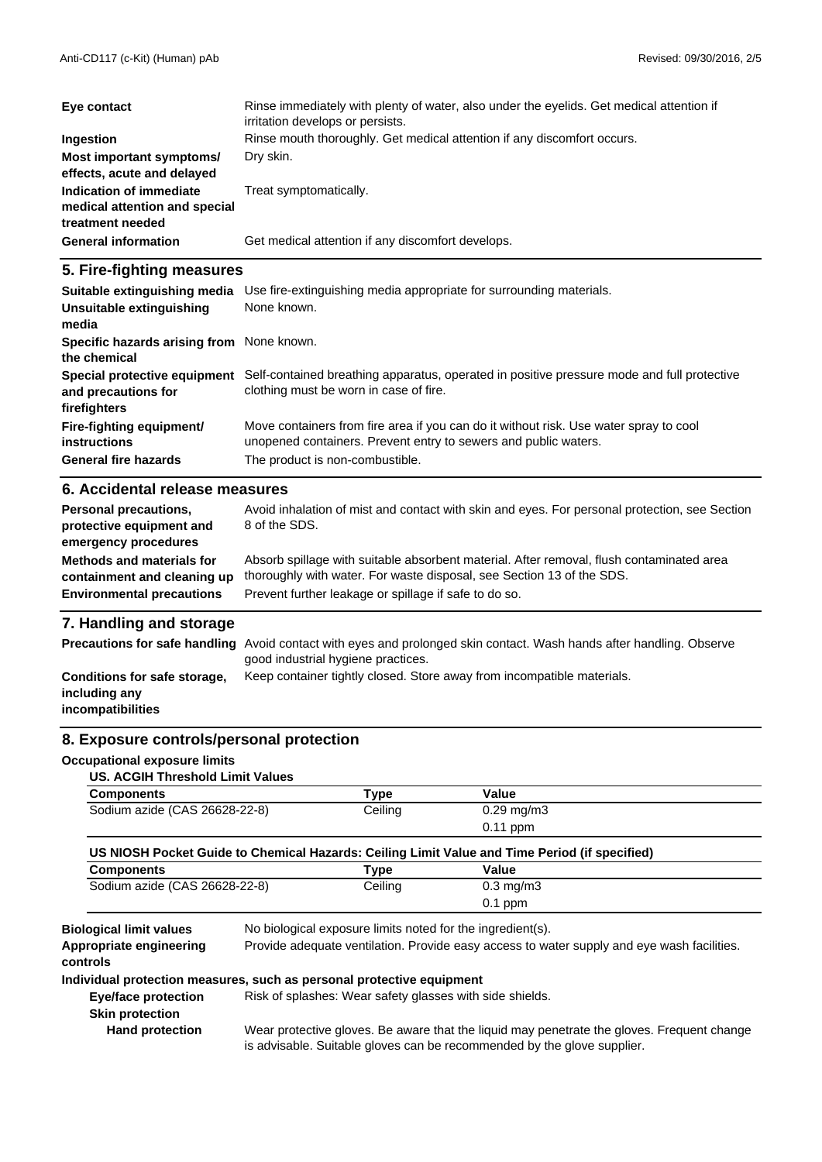| Eye contact                                                                  | Rinse immediately with plenty of water, also under the eyelids. Get medical attention if<br>irritation develops or persists. |
|------------------------------------------------------------------------------|------------------------------------------------------------------------------------------------------------------------------|
| Ingestion                                                                    | Rinse mouth thoroughly. Get medical attention if any discomfort occurs.                                                      |
| Most important symptoms/<br>effects, acute and delayed                       | Dry skin.                                                                                                                    |
| Indication of immediate<br>medical attention and special<br>treatment needed | Treat symptomatically.                                                                                                       |
| <b>General information</b>                                                   | Get medical attention if any discomfort develops.                                                                            |

## **5. Fire-fighting measures**

| Suitable extinguishing media                                        | Use fire-extinguishing media appropriate for surrounding materials.                                                                                      |
|---------------------------------------------------------------------|----------------------------------------------------------------------------------------------------------------------------------------------------------|
| Unsuitable extinguishing<br>media                                   | None known.                                                                                                                                              |
| Specific hazards arising from None known.<br>the chemical           |                                                                                                                                                          |
| Special protective equipment<br>and precautions for<br>firefighters | Self-contained breathing apparatus, operated in positive pressure mode and full protective<br>clothing must be worn in case of fire.                     |
| Fire-fighting equipment/<br>instructions                            | Move containers from fire area if you can do it without risk. Use water spray to cool<br>unopened containers. Prevent entry to sewers and public waters. |
| <b>General fire hazards</b>                                         | The product is non-combustible.                                                                                                                          |
| C Apoidontal release moneures                                       |                                                                                                                                                          |

#### **6. Accidental release measures**

| <b>Personal precautions,</b><br>protective equipment and<br>emergency procedures | Avoid inhalation of mist and contact with skin and eyes. For personal protection, see Section<br>8 of the SDS. |
|----------------------------------------------------------------------------------|----------------------------------------------------------------------------------------------------------------|
| <b>Methods and materials for</b>                                                 | Absorb spillage with suitable absorbent material. After removal, flush contaminated area                       |
| containment and cleaning up                                                      | thoroughly with water. For waste disposal, see Section 13 of the SDS.                                          |
| <b>Environmental precautions</b>                                                 | Prevent further leakage or spillage if safe to do so.                                                          |

## **7. Handling and storage**

|                                                                           | <b>Precautions for safe handling</b> Avoid contact with eyes and prolonged skin contact. Wash hands after handling. Observe<br>good industrial hygiene practices. |
|---------------------------------------------------------------------------|-------------------------------------------------------------------------------------------------------------------------------------------------------------------|
| Conditions for safe storage,<br>including any<br><i>incompatibilities</i> | Keep container tightly closed. Store away from incompatible materials.                                                                                            |

#### **8. Exposure controls/personal protection**

#### **Occupational exposure limits**

|  |  | US. ACGIH Threshold Limit Values |
|--|--|----------------------------------|
|--|--|----------------------------------|

| <b>Components</b>                                                                             | Type    | Value                  |  |
|-----------------------------------------------------------------------------------------------|---------|------------------------|--|
| Sodium azide (CAS 26628-22-8)                                                                 | Ceiling | $0.29 \,\mathrm{mg/m}$ |  |
|                                                                                               |         | $0.11$ ppm             |  |
| US NIOSH Pocket Guide to Chemical Hazards: Ceiling Limit Value and Time Period (if specified) |         |                        |  |

| <b>Components</b>             | ™уре    | Value              |  |
|-------------------------------|---------|--------------------|--|
| Sodium azide (CAS 26628-22-8) | Ceiling | $0.3 \text{ mg/m}$ |  |
|                               |         | 0.1<br>ppm         |  |

**Appropriate engineering**

**Biological limit values** No biological exposure limits noted for the ingredient(s).

Provide adequate ventilation. Provide easy access to water supply and eye wash facilities.

**controls**

**Individual protection measures, such as personal protective equipment**

**Eye/face protection** Risk of splashes: Wear safety glasses with side shields.

**Skin protection**

 **Hand protection**

Wear protective gloves. Be aware that the liquid may penetrate the gloves. Frequent change is advisable. Suitable gloves can be recommended by the glove supplier.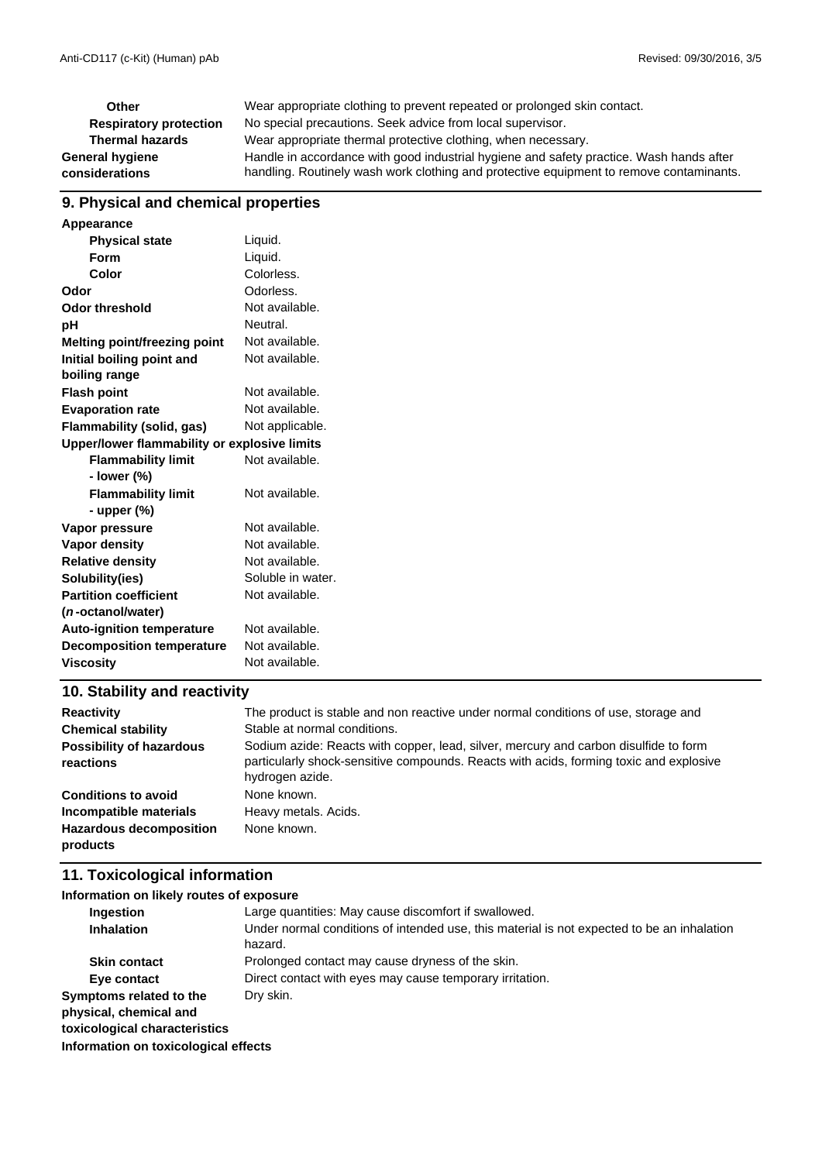| Other                         | Wear appropriate clothing to prevent repeated or prolonged skin contact.                |
|-------------------------------|-----------------------------------------------------------------------------------------|
| <b>Respiratory protection</b> | No special precautions. Seek advice from local supervisor.                              |
| <b>Thermal hazards</b>        | Wear appropriate thermal protective clothing, when necessary.                           |
| General hygiene               | Handle in accordance with good industrial hygiene and safety practice. Wash hands after |
| considerations                | handling. Routinely wash work clothing and protective equipment to remove contaminants. |

## **9. Physical and chemical properties**

| Appearance                                   |                   |
|----------------------------------------------|-------------------|
| <b>Physical state</b>                        | Liquid.           |
| <b>Form</b>                                  | Liquid.           |
| Color                                        | Colorless.        |
| Odor                                         | Odorless.         |
| <b>Odor threshold</b>                        | Not available.    |
| рH                                           | Neutral.          |
| <b>Melting point/freezing point</b>          | Not available.    |
| Initial boiling point and                    | Not available.    |
| boiling range                                |                   |
| <b>Flash point</b>                           | Not available.    |
| <b>Evaporation rate</b>                      | Not available.    |
| Flammability (solid, gas)                    | Not applicable.   |
| Upper/lower flammability or explosive limits |                   |
| <b>Flammability limit</b>                    | Not available.    |
| - lower (%)                                  |                   |
| <b>Flammability limit</b>                    | Not available.    |
| - upper (%)                                  |                   |
| Vapor pressure                               | Not available.    |
| Vapor density                                | Not available.    |
| <b>Relative density</b>                      | Not available.    |
| Solubility(ies)                              | Soluble in water. |
| <b>Partition coefficient</b>                 | Not available.    |
| (n-octanol/water)                            |                   |
| <b>Auto-ignition temperature</b>             | Not available.    |
| <b>Decomposition temperature</b>             | Not available.    |
| <b>Viscosity</b>                             | Not available.    |

# **10. Stability and reactivity**

| <b>Reactivity</b>                            | The product is stable and non reactive under normal conditions of use, storage and                                                                                                                |
|----------------------------------------------|---------------------------------------------------------------------------------------------------------------------------------------------------------------------------------------------------|
| <b>Chemical stability</b>                    | Stable at normal conditions.                                                                                                                                                                      |
| <b>Possibility of hazardous</b><br>reactions | Sodium azide: Reacts with copper, lead, silver, mercury and carbon disulfide to form<br>particularly shock-sensitive compounds. Reacts with acids, forming toxic and explosive<br>hydrogen azide. |
| <b>Conditions to avoid</b>                   | None known.                                                                                                                                                                                       |
| Incompatible materials                       | Heavy metals. Acids.                                                                                                                                                                              |
| <b>Hazardous decomposition</b><br>products   | None known.                                                                                                                                                                                       |

# **11. Toxicological information**

## **Information on likely routes of exposure**

| Ingestion                                         | Large quantities: May cause discomfort if swallowed.                                                  |
|---------------------------------------------------|-------------------------------------------------------------------------------------------------------|
| <b>Inhalation</b>                                 | Under normal conditions of intended use, this material is not expected to be an inhalation<br>hazard. |
| <b>Skin contact</b>                               | Prolonged contact may cause dryness of the skin.                                                      |
| Eye contact                                       | Direct contact with eyes may cause temporary irritation.                                              |
| Symptoms related to the<br>physical, chemical and | Dry skin.                                                                                             |
| toxicological characteristics                     |                                                                                                       |
| Information on toxicological effects              |                                                                                                       |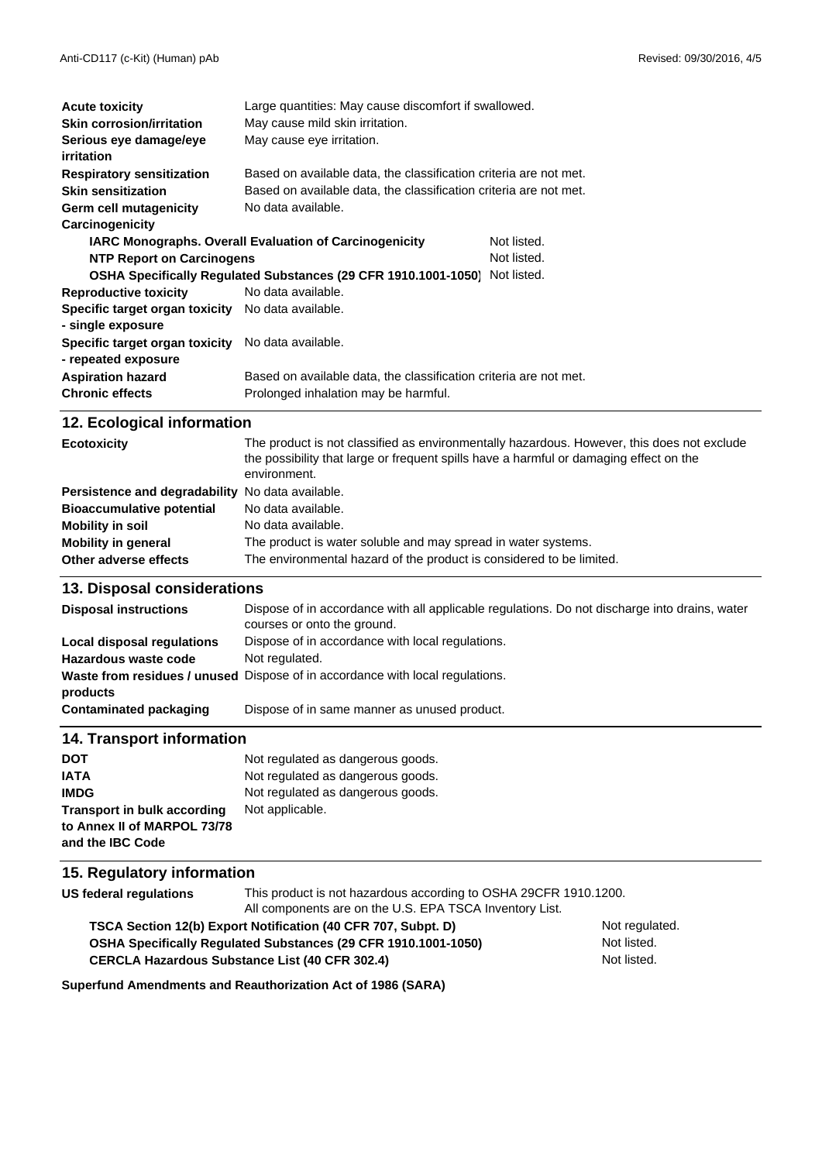| <b>Acute toxicity</b>                             | Large quantities: May cause discomfort if swallowed.              |             |
|---------------------------------------------------|-------------------------------------------------------------------|-------------|
| <b>Skin corrosion/irritation</b>                  | May cause mild skin irritation.                                   |             |
| Serious eye damage/eye<br>irritation              | May cause eye irritation.                                         |             |
| <b>Respiratory sensitization</b>                  | Based on available data, the classification criteria are not met. |             |
| <b>Skin sensitization</b>                         | Based on available data, the classification criteria are not met. |             |
| Germ cell mutagenicity                            | No data available.                                                |             |
| Carcinogenicity                                   |                                                                   |             |
|                                                   | <b>IARC Monographs. Overall Evaluation of Carcinogenicity</b>     | Not listed. |
| <b>NTP Report on Carcinogens</b>                  |                                                                   | Not listed. |
|                                                   | OSHA Specifically Regulated Substances (29 CFR 1910.1001-1050)    | Not listed. |
| <b>Reproductive toxicity</b>                      | No data available.                                                |             |
| Specific target organ toxicity No data available. |                                                                   |             |
| - single exposure                                 |                                                                   |             |
| Specific target organ toxicity                    | No data available.                                                |             |
| - repeated exposure                               |                                                                   |             |
| <b>Aspiration hazard</b>                          | Based on available data, the classification criteria are not met. |             |
| <b>Chronic effects</b>                            | Prolonged inhalation may be harmful.                              |             |

# **12. Ecological information**

| <b>Ecotoxicity</b>               | The product is not classified as environmentally hazardous. However, this does not exclude<br>the possibility that large or frequent spills have a harmful or damaging effect on the<br>environment. |
|----------------------------------|------------------------------------------------------------------------------------------------------------------------------------------------------------------------------------------------------|
| Persistence and degradability    | No data available.                                                                                                                                                                                   |
| <b>Bioaccumulative potential</b> | No data available.                                                                                                                                                                                   |
| <b>Mobility in soil</b>          | No data available.                                                                                                                                                                                   |
| <b>Mobility in general</b>       | The product is water soluble and may spread in water systems.                                                                                                                                        |
| Other adverse effects            | The environmental hazard of the product is considered to be limited.                                                                                                                                 |

# **13. Disposal considerations**

| <b>Disposal instructions</b>      | Dispose of in accordance with all applicable regulations. Do not discharge into drains, water<br>courses or onto the ground. |
|-----------------------------------|------------------------------------------------------------------------------------------------------------------------------|
| <b>Local disposal regulations</b> | Dispose of in accordance with local regulations.                                                                             |
| Hazardous waste code              | Not regulated.                                                                                                               |
| products                          | Waste from residues / unused Dispose of in accordance with local regulations.                                                |
| Contaminated packaging            | Dispose of in same manner as unused product.                                                                                 |
|                                   |                                                                                                                              |

## **14. Transport information**

| <b>DOT</b>                         | Not regulated as dangerous goods. |
|------------------------------------|-----------------------------------|
| <b>IATA</b>                        | Not regulated as dangerous goods. |
| <b>IMDG</b>                        | Not regulated as dangerous goods. |
| <b>Transport in bulk according</b> | Not applicable.                   |
| to Annex II of MARPOL 73/78        |                                   |
| and the IBC Code                   |                                   |

# **15. Regulatory information**

| US federal regulations | This product is not hazardous according to OSHA 29CFR 1910.1200.<br>All components are on the U.S. EPA TSCA Inventory List. |                |
|------------------------|-----------------------------------------------------------------------------------------------------------------------------|----------------|
|                        | TSCA Section 12(b) Export Notification (40 CFR 707, Subpt. D)                                                               | Not regulated. |
|                        | <b>OSHA Specifically Requiated Substances (29 CFR 1910.1001-1050)</b>                                                       | Not listed.    |
|                        | <b>CERCLA Hazardous Substance List (40 CFR 302.4)</b>                                                                       | Not listed.    |
|                        |                                                                                                                             |                |

**Superfund Amendments and Reauthorization Act of 1986 (SARA)**